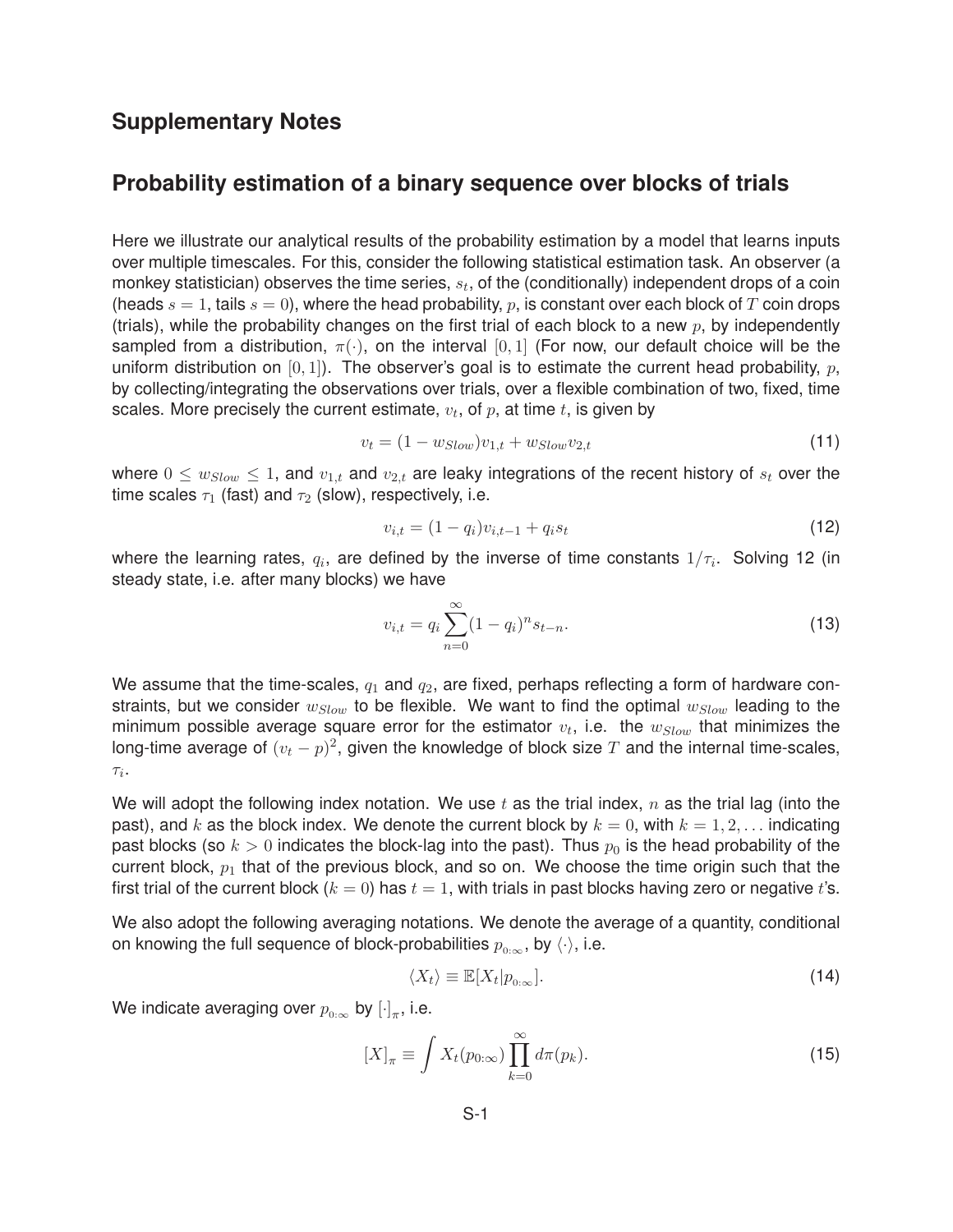## **Supplementary Notes**

# **Probability estimation of a binary sequence over blocks of trials**

Here we illustrate our analytical results of the probability estimation by a model that learns inputs over multiple timescales. For this, consider the following statistical estimation task. An observer (a monkey statistician) observes the time series, s*t*, of the (conditionally) independent drops of a coin (heads  $s = 1$ , tails  $s = 0$ ), where the head probability, p, is constant over each block of T coin drops (trials), while the probability changes on the first trial of each block to a new  $p$ , by independently sampled from a distribution,  $\pi(\cdot)$ , on the interval [0, 1] (For now, our default choice will be the uniform distribution on  $[0, 1]$ ). The observer's goal is to estimate the current head probability,  $p$ , by collecting/integrating the observations over trials, over a flexible combination of two, fixed, time scales. More precisely the current estimate,  $v_t$ , of  $p$ , at time  $t$ , is given by

$$
v_t = (1 - w_{Slow})v_{1,t} + w_{Slow}v_{2,t}
$$
\n(11)

where  $0 \le w_{Slow} \le 1$ , and  $v_{1,t}$  and  $v_{2,t}$  are leaky integrations of the recent history of  $s_t$  over the time scales  $\tau_1$  (fast) and  $\tau_2$  (slow), respectively, i.e.

$$
v_{i,t} = (1 - q_i)v_{i,t-1} + q_i s_t
$$
\n(12)

where the learning rates,  $q_i$ , are defined by the inverse of time constants  $1/\tau_i$ . Solving 12 (in steady state, i.e. after many blocks) we have

$$
v_{i,t} = q_i \sum_{n=0}^{\infty} (1 - q_i)^n s_{t-n}.
$$
\n(13)

We assume that the time-scales,  $q_1$  and  $q_2$ , are fixed, perhaps reflecting a form of hardware constraints, but we consider  $w_{Slow}$  to be flexible. We want to find the optimal  $w_{Slow}$  leading to the minimum possible average square error for the estimator  $v_t$ , i.e. the  $w_{Slow}$  that minimizes the long-time average of  $(v_t - p)^2$ , given the knowledge of block size T and the internal time-scales, τ*i*.

We will adopt the following index notation. We use  $t$  as the trial index,  $n$  as the trial lag (into the past), and k as the block index. We denote the current block by  $k = 0$ , with  $k = 1, 2, \ldots$  indicating past blocks (so  $k > 0$  indicates the block-lag into the past). Thus  $p_0$  is the head probability of the current block,  $p_1$  that of the previous block, and so on. We choose the time origin such that the first trial of the current block  $(k = 0)$  has  $t = 1$ , with trials in past blocks having zero or negative t's.

We also adopt the following averaging notations. We denote the average of a quantity, conditional on knowing the full sequence of block-probabilities  $p_{0:∞}$ , by  $\langle \cdot \rangle$ , i.e.

$$
\langle X_t \rangle \equiv \mathbb{E}[X_t | p_{0:\infty}]. \tag{14}
$$

We indicate averaging over  $p_{0:\infty}$  by  $[\cdot]_\pi$ , i.e.

$$
[X]_{\pi} \equiv \int X_t(p_{0:\infty}) \prod_{k=0}^{\infty} d\pi(p_k). \tag{15}
$$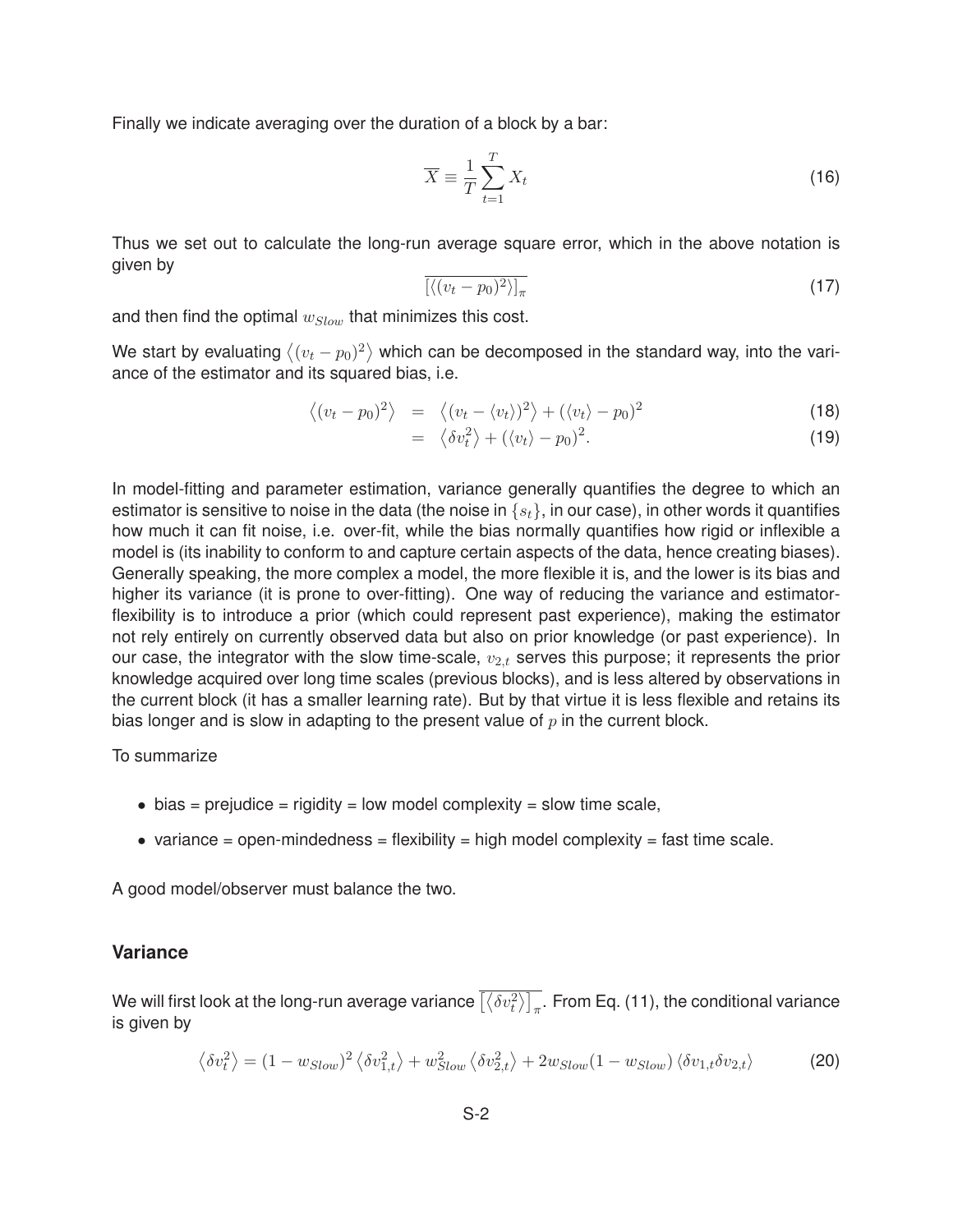Finally we indicate averaging over the duration of a block by a bar:

$$
\overline{X} \equiv \frac{1}{T} \sum_{t=1}^{T} X_t \tag{16}
$$

Thus we set out to calculate the long-run average square error, which in the above notation is given by

$$
\overline{\left[ \langle (v_t - p_0)^2 \rangle \right]_{\pi}} \tag{17}
$$

and then find the optimal w*Slow* that minimizes this cost.

We start by evaluating  $\left\langle (v_t - p_0)^2 \right\rangle$  which can be decomposed in the standard way, into the variance of the estimator and its squared bias, i.e.

$$
\langle (v_t - p_0)^2 \rangle = \langle (v_t - \langle v_t \rangle)^2 \rangle + (\langle v_t \rangle - p_0)^2 \tag{18}
$$

$$
= \langle \delta v_t^2 \rangle + (\langle v_t \rangle - p_0)^2. \tag{19}
$$

In model-fitting and parameter estimation, variance generally quantifies the degree to which an estimator is sensitive to noise in the data (the noise in {s*t*}, in our case), in other words it quantifies how much it can fit noise, i.e. over-fit, while the bias normally quantifies how rigid or inflexible a model is (its inability to conform to and capture certain aspects of the data, hence creating biases). Generally speaking, the more complex a model, the more flexible it is, and the lower is its bias and higher its variance (it is prone to over-fitting). One way of reducing the variance and estimatorflexibility is to introduce a prior (which could represent past experience), making the estimator not rely entirely on currently observed data but also on prior knowledge (or past experience). In our case, the integrator with the slow time-scale,  $v_{2,t}$  serves this purpose; it represents the prior knowledge acquired over long time scales (previous blocks), and is less altered by observations in the current block (it has a smaller learning rate). But by that virtue it is less flexible and retains its bias longer and is slow in adapting to the present value of  $p$  in the current block.

To summarize

- $\bullet$  bias = prejudice = rigidity = low model complexity = slow time scale,
- variance = open-mindedness = flexibility = high model complexity = fast time scale.

A good model/observer must balance the two.

### **Variance**

We will first look at the long-run average variance  $\overline{[\langle \delta v_t^2 \rangle]_{\pi}}.$  From Eq. (11), the conditional variance is given by

$$
\langle \delta v_t^2 \rangle = (1 - w_{Slow})^2 \langle \delta v_{1,t}^2 \rangle + w_{Slow}^2 \langle \delta v_{2,t}^2 \rangle + 2w_{Slow}(1 - w_{Slow}) \langle \delta v_{1,t} \delta v_{2,t} \rangle \tag{20}
$$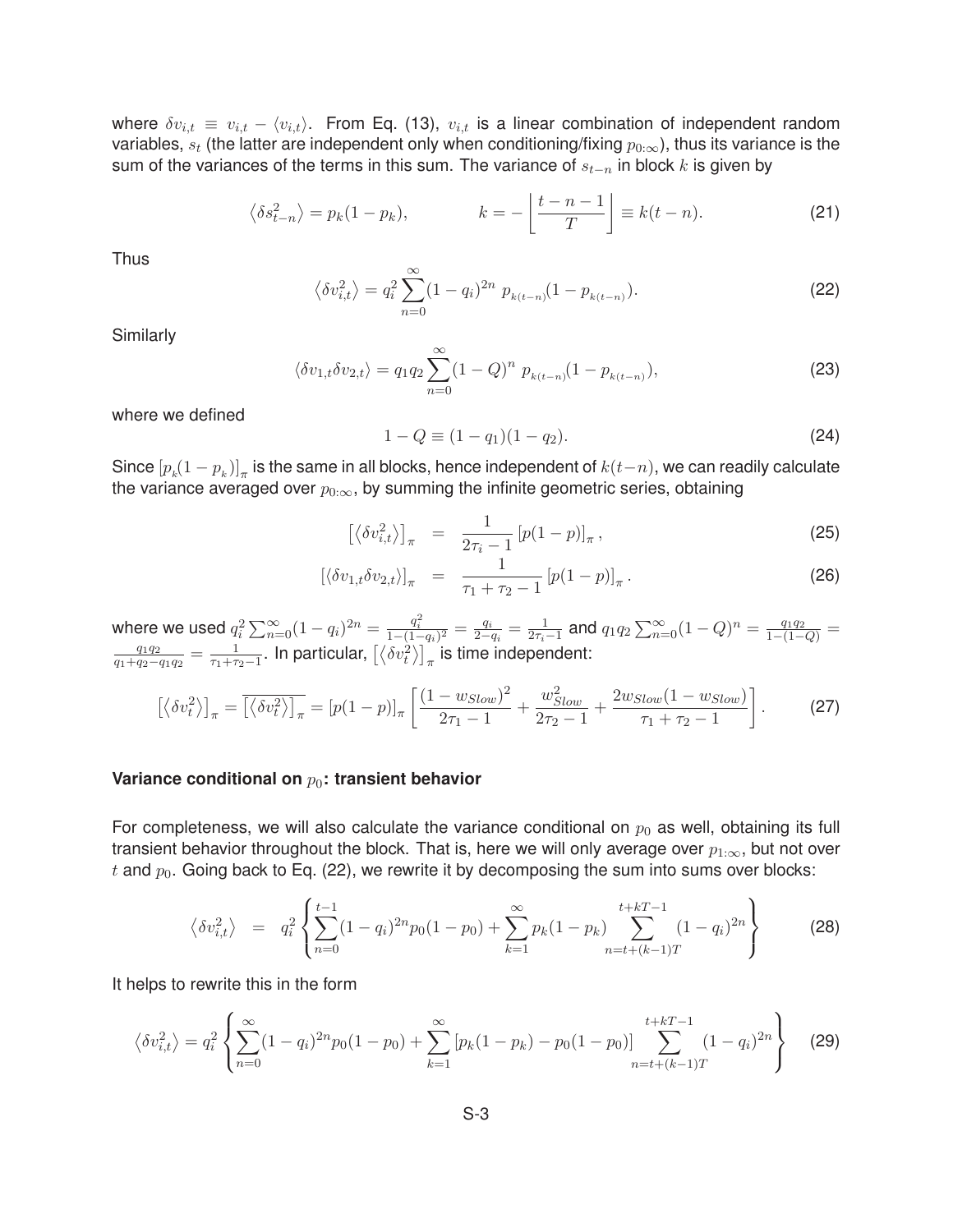where  $\delta v_{i,t} \equiv v_{i,t} - \langle v_{i,t} \rangle$ . From Eq. (13),  $v_{i,t}$  is a linear combination of independent random variables,  $s_t$  (the latter are independent only when conditioning/fixing  $p_{0:\infty}$ ), thus its variance is the sum of the variances of the terms in this sum. The variance of <sup>s</sup>*t*−*<sup>n</sup>* in block <sup>k</sup> is given by

$$
\left\langle \delta s_{t-n}^2 \right\rangle = p_k(1-p_k), \qquad k = -\left\lfloor \frac{t-n-1}{T} \right\rfloor \equiv k(t-n). \tag{21}
$$

Thus

$$
\left\langle \delta v_{i,t}^2 \right\rangle = q_i^2 \sum_{n=0}^{\infty} (1 - q_i)^{2n} p_{k(t-n)} (1 - p_{k(t-n)}).
$$
 (22)

**Similarly** 

$$
\langle \delta v_{1,t} \delta v_{2,t} \rangle = q_1 q_2 \sum_{n=0}^{\infty} (1 - Q)^n p_{k(t-n)} (1 - p_{k(t-n)}), \tag{23}
$$

where we defined

$$
1 - Q \equiv (1 - q_1)(1 - q_2). \tag{24}
$$

Since  $[p_k(1-p_k)]_\pi$  is the same in all blocks, hence independent of  $k(t-n)$ , we can readily calculate the variance averaged over  $p_{0:\infty}$ , by summing the infinite geometric series, obtaining

$$
\left[\left\langle \delta v_{i,t}^2 \right\rangle \right]_{\pi} = \frac{1}{2\tau_i - 1} \left[ p(1-p) \right]_{\pi},\tag{25}
$$

$$
[\langle \delta v_{1,t} \delta v_{2,t} \rangle]_{\pi} = \frac{1}{\tau_1 + \tau_2 - 1} [p(1-p)]_{\pi}.
$$
 (26)

where we used  $q_i^2 \sum_{n=0}^{\infty} (1 - q_i)^{2n} = \frac{q_i^2}{1 - (1 - q_i)^2} = \frac{q_i}{2 - q_i} = \frac{1}{2\tau_i - 1}$  and  $q_1 q_2 \sum_{n=0}^{\infty} (1 - Q)^n = \frac{q_1 q_2}{1 - (1 - Q)} = \frac{q_1 q_2}{q_1 + q_2 - q_1 q_2} = \frac{1}{\tau_1 + \tau_2 - 1}$ . In particular,  $\left[ \left\langle \delta v_i^2 \right\rangle \right]_{\$ 

$$
\left[\left\langle \delta v_t^2 \right\rangle\right]_{\pi} = \overline{\left[\left\langle \delta v_t^2 \right\rangle\right]_{\pi}} = \left[p(1-p)\right]_{\pi} \left[\frac{(1-w_{Slow})^2}{2\tau_1 - 1} + \frac{w_{Slow}^2}{2\tau_2 - 1} + \frac{2w_{Slow}(1-w_{Slow})}{\tau_1 + \tau_2 - 1}\right].
$$
 (27)

#### **Variance conditional on**  $p_0$ : transient behavior

For completeness, we will also calculate the variance conditional on  $p_0$  as well, obtaining its full transient behavior throughout the block. That is, here we will only average over  $p_{1:\infty}$ , but not over t and  $p_0$ . Going back to Eq. (22), we rewrite it by decomposing the sum into sums over blocks:

$$
\left\langle \delta v_{i,t}^2 \right\rangle = q_i^2 \left\{ \sum_{n=0}^{t-1} (1 - q_i)^{2n} p_0 (1 - p_0) + \sum_{k=1}^{\infty} p_k (1 - p_k) \sum_{n=t+(k-1)T}^{t+kT-1} (1 - q_i)^{2n} \right\}
$$
(28)

It helps to rewrite this in the form

$$
\langle \delta v_{i,t}^2 \rangle = q_i^2 \left\{ \sum_{n=0}^{\infty} (1 - q_i)^{2n} p_0 (1 - p_0) + \sum_{k=1}^{\infty} \left[ p_k (1 - p_k) - p_0 (1 - p_0) \right] \sum_{n=t+(k-1)T}^{t+kT-1} (1 - q_i)^{2n} \right\}
$$
(29)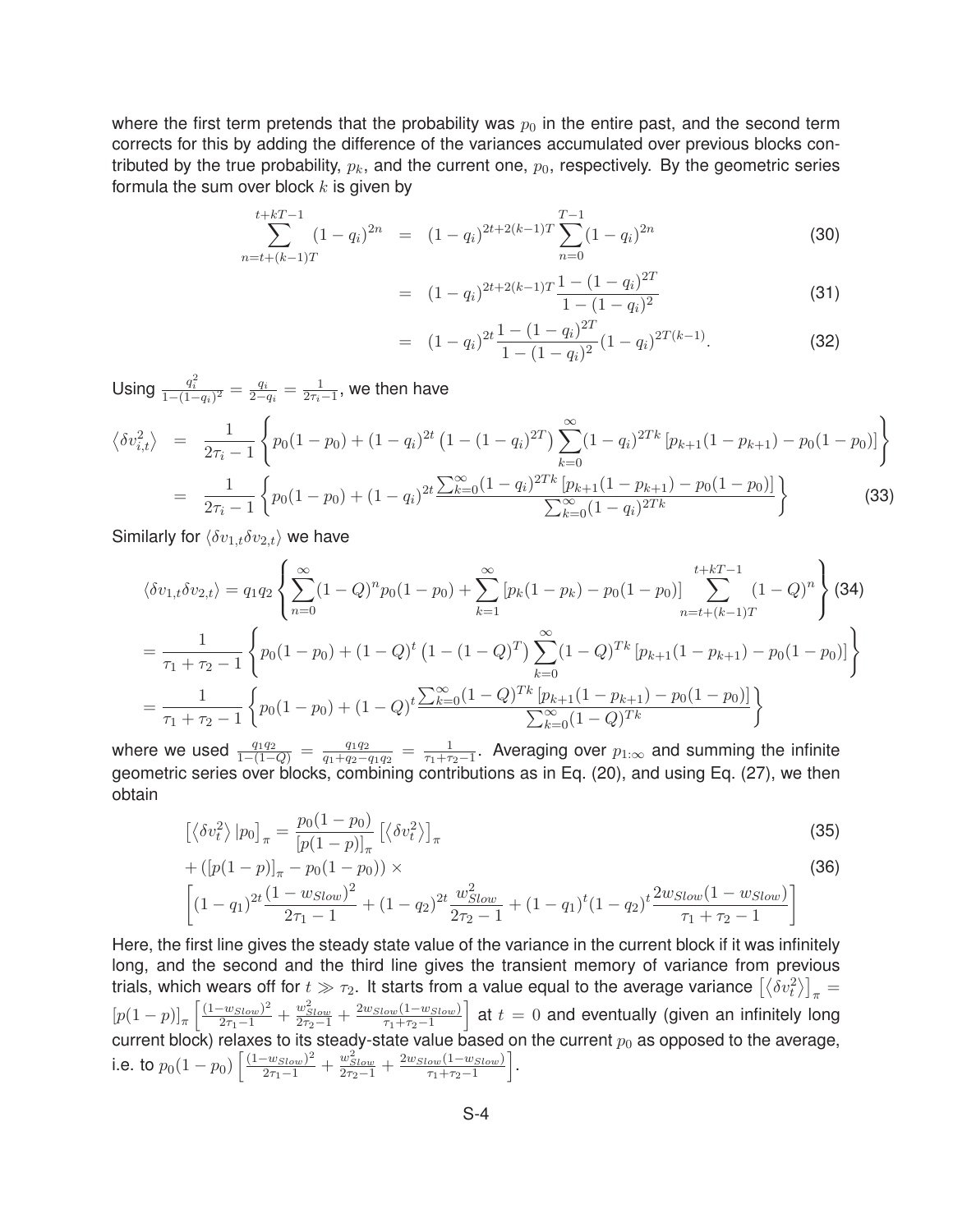where the first term pretends that the probability was  $p_0$  in the entire past, and the second term corrects for this by adding the difference of the variances accumulated over previous blocks contributed by the true probability,  $p_k$ , and the current one,  $p_0$ , respectively. By the geometric series formula the sum over block  $k$  is given by

$$
\sum_{n=t+(k-1)T}^{t+kT-1} (1-q_i)^{2n} = (1-q_i)^{2t+2(k-1)T} \sum_{n=0}^{T-1} (1-q_i)^{2n}
$$
 (30)

$$
= (1 - q_i)^{2t + 2(k-1)T} \frac{1 - (1 - q_i)^{2T}}{1 - (1 - q_i)^2}
$$
\n(31)

$$
= (1 - q_i)^{2t} \frac{1 - (1 - q_i)^{2T}}{1 - (1 - q_i)^2} (1 - q_i)^{2T(k-1)}.
$$
 (32)

Using  $\frac{q_i^2}{1-(1-q_i)^2} = \frac{q_i}{2-q_i} = \frac{1}{2\tau_i-1}$ , we then have

$$
\langle \delta v_{i,t}^2 \rangle = \frac{1}{2\tau_i - 1} \left\{ p_0 (1 - p_0) + (1 - q_i)^{2t} \left( 1 - (1 - q_i)^{2T} \right) \sum_{k=0}^{\infty} (1 - q_i)^{2Tk} \left[ p_{k+1} (1 - p_{k+1}) - p_0 (1 - p_0) \right] \right\}
$$
  
= 
$$
\frac{1}{2\tau_i - 1} \left\{ p_0 (1 - p_0) + (1 - q_i)^{2t} \sum_{k=0}^{\infty} (1 - q_i)^{2Tk} \left[ p_{k+1} (1 - p_{k+1}) - p_0 (1 - p_0) \right] \right\}
$$
(33)

Similarly for  $\langle \delta v_{1,t} \delta v_{2,t} \rangle$  we have

$$
\langle \delta v_{1,t} \delta v_{2,t} \rangle = q_1 q_2 \left\{ \sum_{n=0}^{\infty} (1 - Q)^n p_0 (1 - p_0) + \sum_{k=1}^{\infty} \left[ p_k (1 - p_k) - p_0 (1 - p_0) \right] \sum_{n=t+(k-1)T}^{t+kT-1} (1 - Q)^n \right\} (34)
$$
  
= 
$$
\frac{1}{\tau_1 + \tau_2 - 1} \left\{ p_0 (1 - p_0) + (1 - Q)^t (1 - (1 - Q)^T) \sum_{k=0}^{\infty} (1 - Q)^{Tk} \left[ p_{k+1} (1 - p_{k+1}) - p_0 (1 - p_0) \right] \right\}
$$
  
= 
$$
\frac{1}{\tau_1 + \tau_2 - 1} \left\{ p_0 (1 - p_0) + (1 - Q)^t \frac{\sum_{k=0}^{\infty} (1 - Q)^{Tk} \left[ p_{k+1} (1 - p_{k+1}) - p_0 (1 - p_0) \right]}{\sum_{k=0}^{\infty} (1 - Q)^{Tk}} \right\}
$$

where we used  $\frac{q_1q_2}{1-(1-Q)} = \frac{q_1q_2}{q_1+q_2-q_1q_2} = \frac{1}{\tau_1+\tau_2-1}$ . Averaging over  $p_{1,\infty}$  and summing the infinite geometric series over blocks, combining contributions as in Eq. (20), and using Eq. (27), we then obtain

$$
\left[\langle \delta v_t^2 \rangle | p_0 \right]_{\pi} = \frac{p_0 (1 - p_0)}{\left[p(1 - p)\right]_{\pi}} \left[\langle \delta v_t^2 \rangle\right]_{\pi}
$$
\n
$$
+ \left([p(1 - p)]_{\pi} - p_0 (1 - p_0)\right) \times
$$
\n(36)

$$
\left[ (1 - q_1)^{2t} \frac{(1 - w_{Slow})^2}{2\tau_1 - 1} + (1 - q_2)^{2t} \frac{w_{Slow}^2}{2\tau_2 - 1} + (1 - q_1)^t (1 - q_2)^t \frac{2w_{Slow}(1 - w_{Slow})}{\tau_1 + \tau_2 - 1} \right]
$$

Here, the first line gives the steady state value of the variance in the current block if it was infinitely long, and the second and the third line gives the transient memory of variance from previous trials, which wears off for  $t\gg\tau_2$ . It starts from a value equal to the average variance  $\left[\left<\delta v_t^2\right>\right]_\pi=$  $[p(1-p)]_{\pi} \left[ \frac{(1-w_{Slow})^2}{2\tau_1-1} + \frac{w_{Slow}^2}{2\tau_2-1} + \frac{2w_{Slow}(1-w_{Slow})}{\tau_1+\tau_2-1} \right]$  $a$  at  $t = 0$  and eventually (given an infinitely long current block) relaxes to its steady-state value based on the current  $p_0$  as opposed to the average, i.e. to  $p_0(1-p_0)\left[\frac{(1-w_{Slow})^2}{2\tau_1-1} + \frac{w_{Slow}^2}{2\tau_2-1} + \frac{2w_{Slow}(1-w_{Slow})}{\tau_1+\tau_2-1}\right]$ .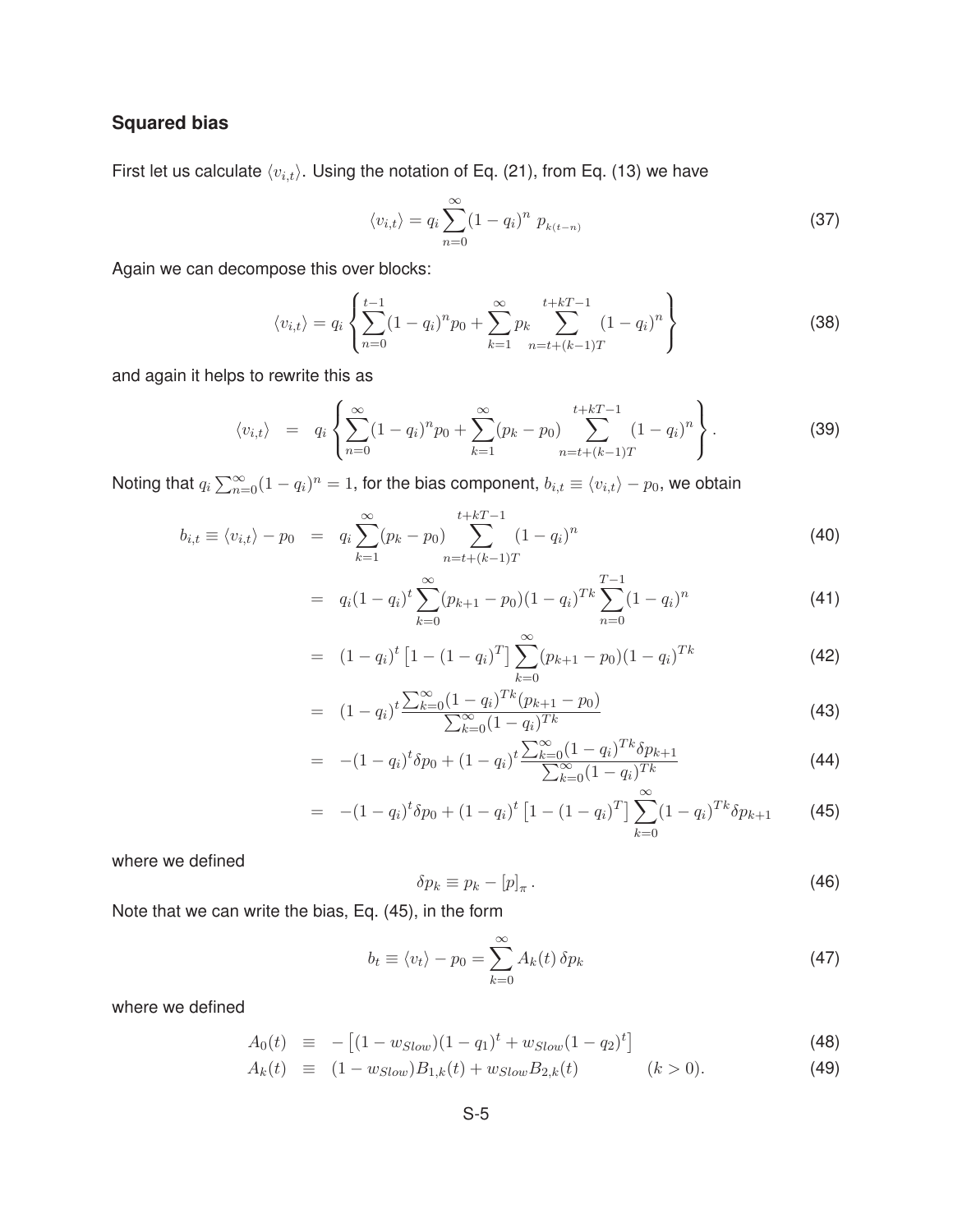# **Squared bias**

First let us calculate  $\langle v_{i,t} \rangle$ . Using the notation of Eq. (21), from Eq. (13) we have

$$
\langle v_{i,t} \rangle = q_i \sum_{n=0}^{\infty} (1 - q_i)^n p_{k(t-n)}
$$
\n(37)

Again we can decompose this over blocks:

$$
\langle v_{i,t} \rangle = q_i \left\{ \sum_{n=0}^{t-1} (1 - q_i)^n p_0 + \sum_{k=1}^{\infty} p_k \sum_{n=t+(k-1)T}^{t+kT-1} (1 - q_i)^n \right\}
$$
(38)

and again it helps to rewrite this as

$$
\langle v_{i,t} \rangle = q_i \left\{ \sum_{n=0}^{\infty} (1 - q_i)^n p_0 + \sum_{k=1}^{\infty} (p_k - p_0) \sum_{n=t+(k-1)T}^{t+kT-1} (1 - q_i)^n \right\}.
$$
 (39)

Noting that  $q_i\sum_{n=0}^\infty(1-q_i)^n=1,$  for the bias component,  $b_{i,t}\equiv\langle v_{i,t}\rangle-p_0,$  we obtain

$$
b_{i,t} \equiv \langle v_{i,t} \rangle - p_0 = q_i \sum_{k=1}^{\infty} (p_k - p_0) \sum_{n=t+(k-1)T}^{t+kT-1} (1 - q_i)^n
$$
 (40)

$$
= q_i(1-q_i)^t \sum_{k=0}^{\infty} (p_{k+1}-p_0)(1-q_i)^{Tk} \sum_{n=0}^{T-1} (1-q_i)^n
$$
\n(41)

$$
= (1 - q_i)^t \left[ 1 - (1 - q_i)^T \right] \sum_{k=0}^{\infty} (p_{k+1} - p_0)(1 - q_i)^{Tk}
$$
\n(42)

$$
= (1 - q_i)^t \frac{\sum_{k=0}^{\infty} (1 - q_i)^{Tk} (p_{k+1} - p_0)}{\sum_{k=0}^{\infty} (1 - q_i)^{Tk}}
$$
\n(43)

$$
= -(1 - q_i)^t \delta p_0 + (1 - q_i)^t \frac{\sum_{k=0}^{\infty} (1 - q_i)^{Tk} \delta p_{k+1}}{\sum_{k=0}^{\infty} (1 - q_i)^{Tk}} \tag{44}
$$

$$
= -(1 - q_i)^t \delta p_0 + (1 - q_i)^t \left[ 1 - (1 - q_i)^T \right] \sum_{k=0}^{\infty} (1 - q_i)^{Tk} \delta p_{k+1}
$$
 (45)

where we defined

$$
\delta p_k \equiv p_k - [p]_\pi \,. \tag{46}
$$

Note that we can write the bias, Eq. (45), in the form

$$
b_t \equiv \langle v_t \rangle - p_0 = \sum_{k=0}^{\infty} A_k(t) \, \delta p_k \tag{47}
$$

where we defined

$$
A_0(t) \equiv -[(1 - w_{Slow})(1 - q_1)^t + w_{Slow}(1 - q_2)^t]
$$
\n(48)

$$
A_k(t) \equiv (1 - w_{Slow})B_{1,k}(t) + w_{Slow}B_{2,k}(t) \qquad (k > 0). \tag{49}
$$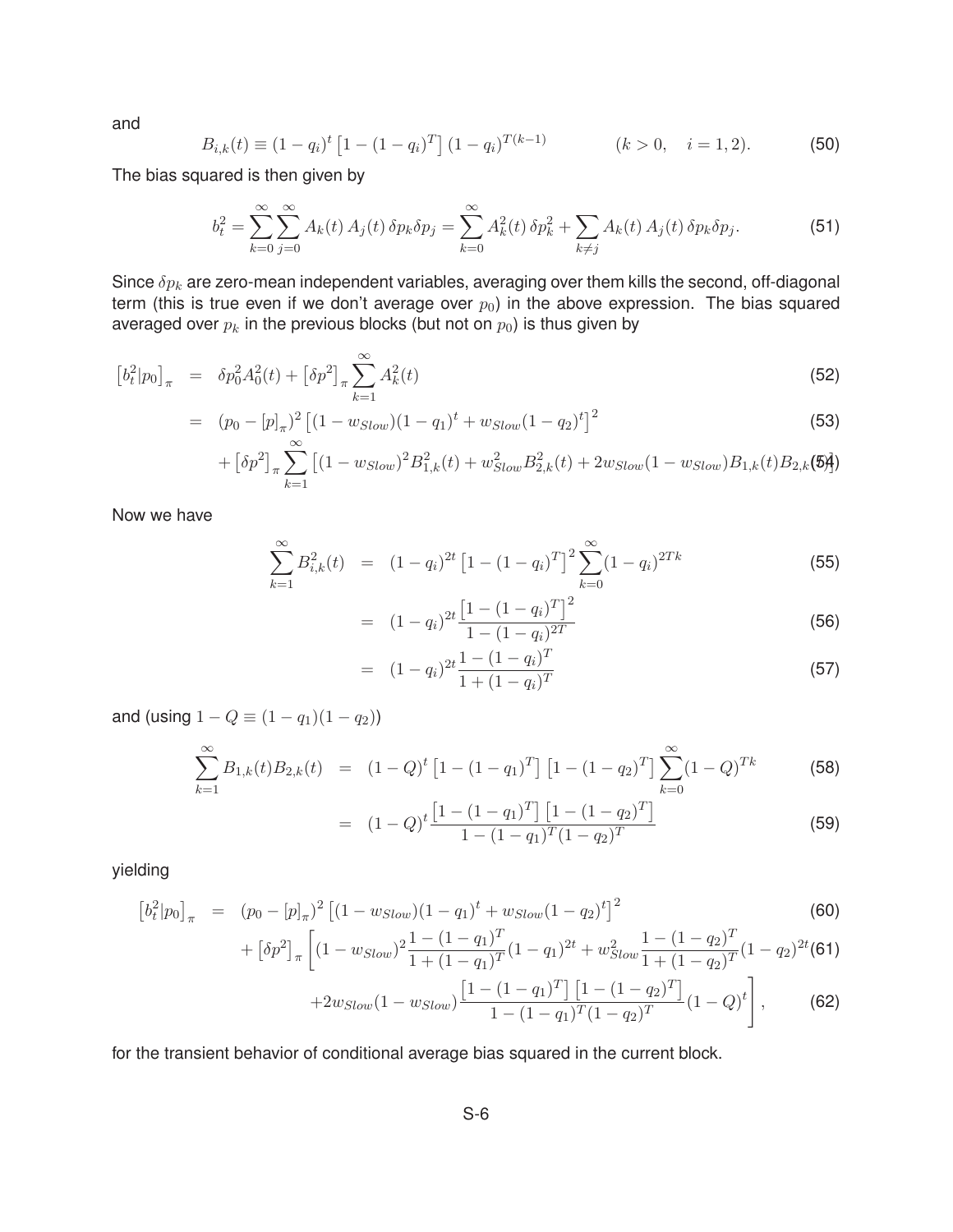and

$$
B_{i,k}(t) \equiv (1 - q_i)^t \left[ 1 - (1 - q_i)^T \right] (1 - q_i)^{T(k-1)} \qquad (k > 0, \quad i = 1, 2).
$$
 (50)

The bias squared is then given by

$$
b_t^2 = \sum_{k=0}^{\infty} \sum_{j=0}^{\infty} A_k(t) A_j(t) \, \delta p_k \delta p_j = \sum_{k=0}^{\infty} A_k^2(t) \, \delta p_k^2 + \sum_{k \neq j} A_k(t) A_j(t) \, \delta p_k \delta p_j.
$$
 (51)

Since δp*<sup>k</sup>* are zero-mean independent variables, averaging over them kills the second, off-diagonal term (this is true even if we don't average over  $p_0$ ) in the above expression. The bias squared averaged over  $p_k$  in the previous blocks (but not on  $p_0$ ) is thus given by

$$
\left[b_t^2|p_0\right]_\pi = \delta p_0^2 A_0^2(t) + \left[\delta p^2\right]_\pi \sum_{k=1}^\infty A_k^2(t) \tag{52}
$$

$$
= (p_0 - [p]_{\pi})^2 \left[ (1 - w_{Slow})(1 - q_1)^t + w_{Slow}(1 - q_2)^t \right]^2
$$
\n(53)

$$
+ \left[\delta p^2\right]_\pi \sum_{k=1}^\infty \left[ (1 - w_{Slow})^2 B_{1,k}^2(t) + w_{Slow}^2 B_{2,k}^2(t) + 2w_{Slow}(1 - w_{Slow}) B_{1,k}(t) B_{2,k}(5) \right]
$$

Now we have

$$
\sum_{k=1}^{\infty} B_{i,k}^2(t) = (1 - q_i)^{2t} \left[ 1 - (1 - q_i)^T \right]^2 \sum_{k=0}^{\infty} (1 - q_i)^{2Tk}
$$
 (55)

$$
= (1 - q_i)^{2t} \frac{\left[1 - (1 - q_i)^T\right]^2}{1 - (1 - q_i)^{2T}}
$$
\n(56)

$$
= (1 - q_i)^{2t} \frac{1 - (1 - q_i)^T}{1 + (1 - q_i)^T}
$$
\n(57)

and (using  $1 - Q \equiv (1 - q_1)(1 - q_2)$ )

$$
\sum_{k=1}^{\infty} B_{1,k}(t) B_{2,k}(t) = (1 - Q)^t \left[ 1 - (1 - q_1)^T \right] \left[ 1 - (1 - q_2)^T \right] \sum_{k=0}^{\infty} (1 - Q)^{Tk}
$$
 (58)

$$
= (1 - Q)^{t} \frac{\left[1 - (1 - q_{1})^{T}\right] \left[1 - (1 - q_{2})^{T}\right]}{1 - (1 - q_{1})^{T} (1 - q_{2})^{T}}
$$
\n(59)

yielding

$$
\left[b_t^2|p_0\right]_{\pi} = (p_0 - [p]_{\pi})^2 \left[ (1 - w_{slow})(1 - q_1)^t + w_{slow}(1 - q_2)^t \right]^2
$$
\n(60)

$$
+\left[\delta p^2\right]_{\pi}\left[\left(1-w_{Slow}\right)^2\frac{1-\left(1-q_1\right)^T}{1+\left(1-q_1\right)^T}\left(1-q_1\right)^{2t}+w_{Slow}^2\frac{1-\left(1-q_2\right)^T}{1+\left(1-q_2\right)^T}\left(1-q_2\right)^{2t}\left(\mathbf{61}\right)\right]
$$

$$
+2w_{Slow}(1-w_{Slow})\frac{\left[1-(1-q_1)^T\right]\left[1-(1-q_2)^T\right]}{1-(1-q_1)^T(1-q_2)^T}(1-Q)^t},\qquad \text{(62)}
$$

for the transient behavior of conditional average bias squared in the current block.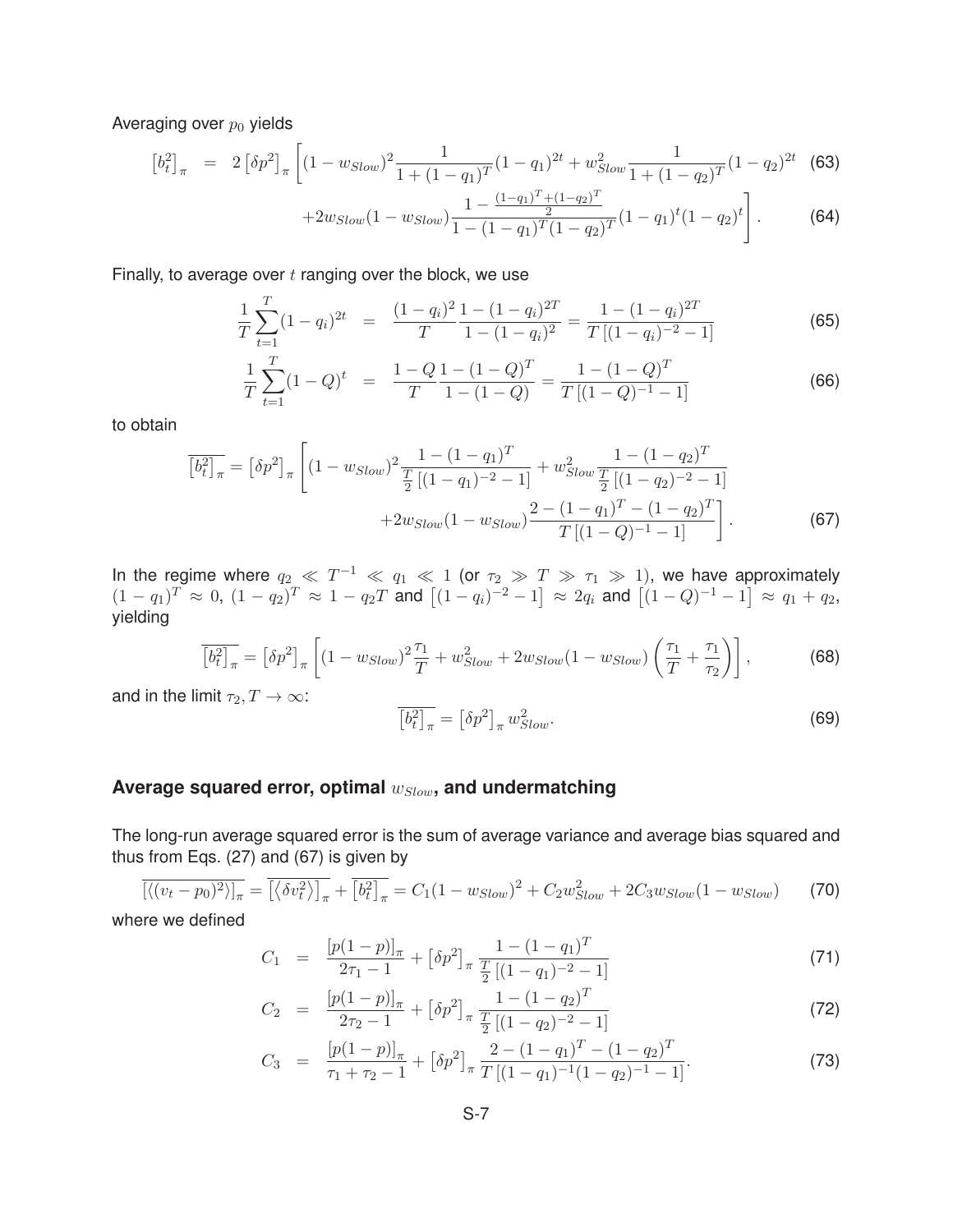Averaging over  $p_0$  yields

$$
\left[b_t^2\right]_{\pi} = 2\left[\delta p^2\right]_{\pi} \left[ (1 - w_{Slow})^2 \frac{1}{1 + (1 - q_1)^T} (1 - q_1)^{2t} + w_{Slow}^2 \frac{1}{1 + (1 - q_2)^T} (1 - q_2)^{2t} \right]
$$
(63)

$$
+2w_{Slow}(1-w_{Slow})\frac{1-\frac{(1-q_1)^T+(1-q_2)^T}{2}}{1-(1-q_1)^T(1-q_2)^T}(1-q_1)^t(1-q_2)^t\Bigg].
$$
 (64)

Finally, to average over  $t$  ranging over the block, we use

$$
\frac{1}{T} \sum_{t=1}^{T} (1 - q_i)^{2t} = \frac{(1 - q_i)^2}{T} \frac{1 - (1 - q_i)^{2T}}{1 - (1 - q_i)^2} = \frac{1 - (1 - q_i)^{2T}}{T[(1 - q_i)^{-2} - 1]}
$$
(65)

$$
\frac{1}{T} \sum_{t=1}^{T} (1 - Q)^t = \frac{1 - Q}{T} \frac{1 - (1 - Q)^T}{1 - (1 - Q)} = \frac{1 - (1 - Q)^T}{T[(1 - Q)^{-1} - 1]}
$$
(66)

to obtain

$$
\overline{\left[b_t^2\right]_{\pi}} = \left[\delta p^2\right]_{\pi} \left[ (1 - w_{Slow})^2 \frac{1 - (1 - q_1)^T}{\frac{T}{2} \left[ (1 - q_1)^{-2} - 1 \right]} + w_{Slow}^2 \frac{1 - (1 - q_2)^T}{\frac{T}{2} \left[ (1 - q_2)^{-2} - 1 \right]} + 2w_{Slow} (1 - w_{Slow}) \frac{2 - (1 - q_1)^T - (1 - q_2)^T}{T \left[ (1 - Q)^{-1} - 1 \right]} \right].
$$
\n(67)

In the regime where  $q_2 \ll T^{-1} \ll q_1 \ll 1$  (or  $\tau_2 \gg T \gg \tau_1 \gg 1$ ), we have approximately  $(1 - q_1)^T$  ≈ 0,  $(1 - q_2)^T$  ≈  $1 - q_2T$  and  $[(1 - q_i)^{-2} - 1]$  ≈  $2q_i$  and  $[(1 - Q)^{-1} - 1]$  ≈  $q_1 + q_2$ , yielding

$$
\overline{\left[b_t^2\right]_\pi} = \left[\delta p^2\right]_\pi \left[ (1 - w_{Slow})^2 \frac{\tau_1}{T} + w_{Slow}^2 + 2w_{Slow}(1 - w_{Slow}) \left(\frac{\tau_1}{T} + \frac{\tau_1}{\tau_2}\right) \right],\tag{68}
$$

and in the limit  $\tau_2, T \to \infty$ :

$$
\overline{\left[b_t^2\right]_\pi} = \left[\delta p^2\right]_\pi w_{Slow}^2. \tag{69}
$$

### **Average squared error, optimal** w*Slow***, and undermatching**

The long-run average squared error is the sum of average variance and average bias squared and thus from Eqs. (27) and (67) is given by

$$
\overline{\left[\langle (v_t - p_0)^2 \rangle\right]_\pi} = \overline{\left[\langle \delta v_t^2 \rangle\right]_\pi} + \overline{\left[b_t^2\right]_\pi} = C_1 (1 - w_{slow})^2 + C_2 w_{slow}^2 + 2C_3 w_{slow} (1 - w_{slow}) \tag{70}
$$

where we defined

$$
C_1 = \frac{\left[p(1-p)\right]_\pi}{2\tau_1 - 1} + \left[\delta p^2\right]_\pi \frac{1 - (1 - q_1)^T}{\frac{T}{2}\left[(1 - q_1)^{-2} - 1\right]}
$$
\n(71)

$$
C_2 = \frac{[p(1-p)]_{\pi}}{2\tau_2 - 1} + [\delta p^2]_{\pi} \frac{1 - (1 - q_2)^T}{\frac{T}{2}[(1 - q_2)^{-2} - 1]}
$$
\n(72)

$$
C_3 = \frac{[p(1-p)]_{\pi}}{\tau_1 + \tau_2 - 1} + [\delta p^2]_{\pi} \frac{2 - (1 - q_1)^T - (1 - q_2)^T}{T[(1 - q_1)^{-1}(1 - q_2)^{-1} - 1]}.
$$
\n(73)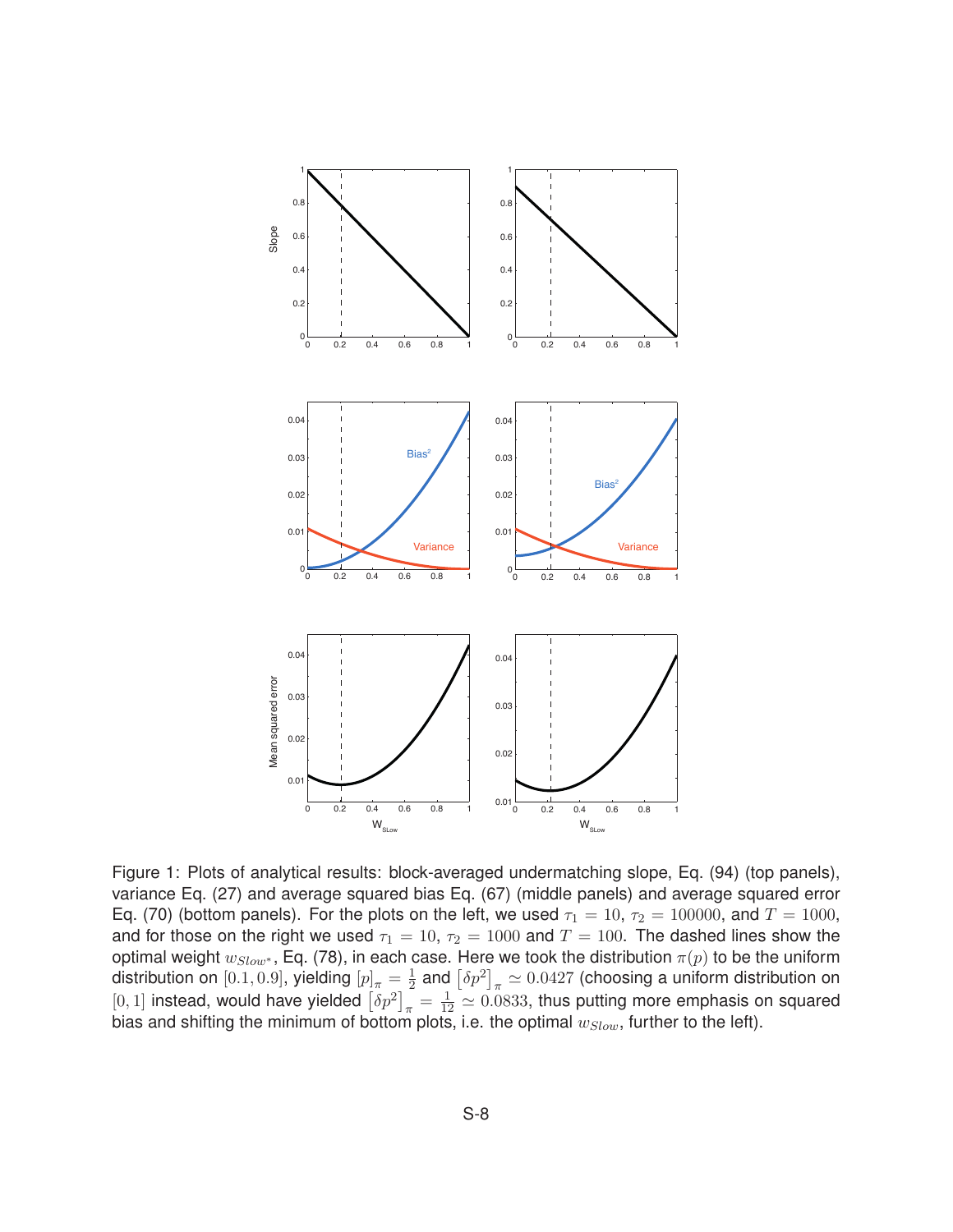

Figure 1: Plots of analytical results: block-averaged undermatching slope, Eq. (94) (top panels), variance Eq. (27) and average squared bias Eq. (67) (middle panels) and average squared error Eq. (70) (bottom panels). For the plots on the left, we used  $\tau_1 = 10$ ,  $\tau_2 = 100000$ , and  $T = 1000$ , and for those on the right we used  $\tau_1 = 10$ ,  $\tau_2 = 1000$  and  $T = 100$ . The dashed lines show the optimal weight  $w_{Slow^*}$ , Eq. (78), in each case. Here we took the distribution  $\pi(p)$  to be the uniform distribution on  $[0.1, 0.9]$ , yielding  $[p]_\pi = \frac{1}{2}$  and  $\left[\delta p^2\right]_\pi \simeq 0.0427$  (choosing a uniform distribution on [0, 1] instead, would have yielded  $\left[\delta p^2\right]_\pi = \frac{1}{12} \simeq 0.0833$ , thus putting more emphasis on squared bias and shifting the minimum of bottom plots, i.e. the optimal  $w_{Slow}$ , further to the left).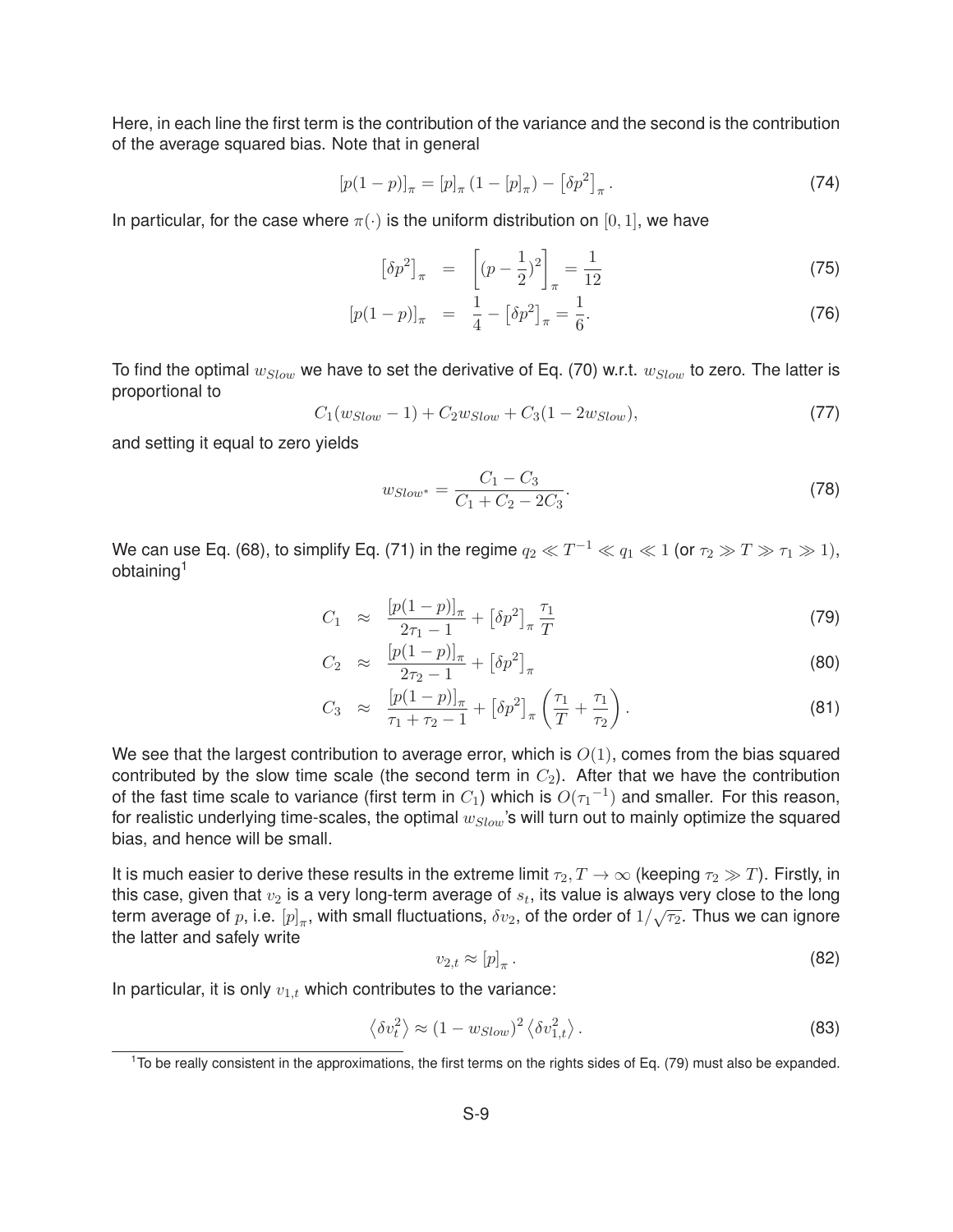Here, in each line the first term is the contribution of the variance and the second is the contribution of the average squared bias. Note that in general

$$
[p(1-p)]_{\pi} = [p]_{\pi} (1 - [p]_{\pi}) - [\delta p^2]_{\pi}.
$$
 (74)

In particular, for the case where  $\pi(\cdot)$  is the uniform distribution on [0, 1], we have

$$
\left[\delta p^2\right]_{\pi} = \left[ (p - \frac{1}{2})^2 \right]_{\pi} = \frac{1}{12} \tag{75}
$$

$$
[p(1-p)]_{\pi} = \frac{1}{4} - [\delta p^2]_{\pi} = \frac{1}{6}.
$$
 (76)

To find the optimal w*Slow* we have to set the derivative of Eq. (70) w.r.t. w*Slow* to zero. The latter is proportional to

$$
C_1(w_{Slow}-1) + C_2 w_{Slow} + C_3(1 - 2w_{Slow}), \tag{77}
$$

and setting it equal to zero yields

$$
w_{Slow^*} = \frac{C_1 - C_3}{C_1 + C_2 - 2C_3}.
$$
\n(78)

We can use Eq. (68), to simplify Eq. (71) in the regime  $q_2 \ll T^{-1} \ll q_1 \ll 1$  (or  $\tau_2 \gg T \gg \tau_1 \gg 1$ ), obtaining1

$$
C_1 \approx \frac{[p(1-p)]_{\pi}}{2\tau_1 - 1} + [\delta p^2]_{\pi} \frac{\tau_1}{T}
$$
\n(79)

$$
C_2 \approx \frac{[p(1-p)]_{\pi}}{2\tau_2 - 1} + \left[\delta p^2\right]_{\pi} \tag{80}
$$

$$
C_3 \approx \frac{[p(1-p)]_{\pi}}{\tau_1 + \tau_2 - 1} + [\delta p^2]_{\pi} \left(\frac{\tau_1}{T} + \frac{\tau_1}{\tau_2}\right).
$$
 (81)

We see that the largest contribution to average error, which is  $O(1)$ , comes from the bias squared contributed by the slow time scale (the second term in  $C_2$ ). After that we have the contribution of the fast time scale to variance (first term in  $C_1$ ) which is  $O(\tau_1^{-1})$  and smaller. For this reason, for realistic underlying time-scales, the optimal w*Slow*'s will turn out to mainly optimize the squared bias, and hence will be small.

It is much easier to derive these results in the extreme limit  $\tau_2, T \to \infty$  (keeping  $\tau_2 \gg T$ ). Firstly, in this case, given that  $v_2$  is a very long-term average of  $s_t$ , its value is always very close to the long term average of p, i.e.  $[p]_{\pi}$ , with small fluctuations,  $\delta v_2$ , of the order of  $1/\sqrt{\tau_2}$ . Thus we can ignore the latter and safely write

$$
v_{2,t} \approx [p]_{\pi} \,. \tag{82}
$$

In particular, it is only  $v_{1,t}$  which contributes to the variance:

$$
\langle \delta v_t^2 \rangle \approx (1 - w_{Slow})^2 \langle \delta v_{1,t}^2 \rangle. \tag{83}
$$

 $1$ To be really consistent in the approximations, the first terms on the rights sides of Eq. (79) must also be expanded.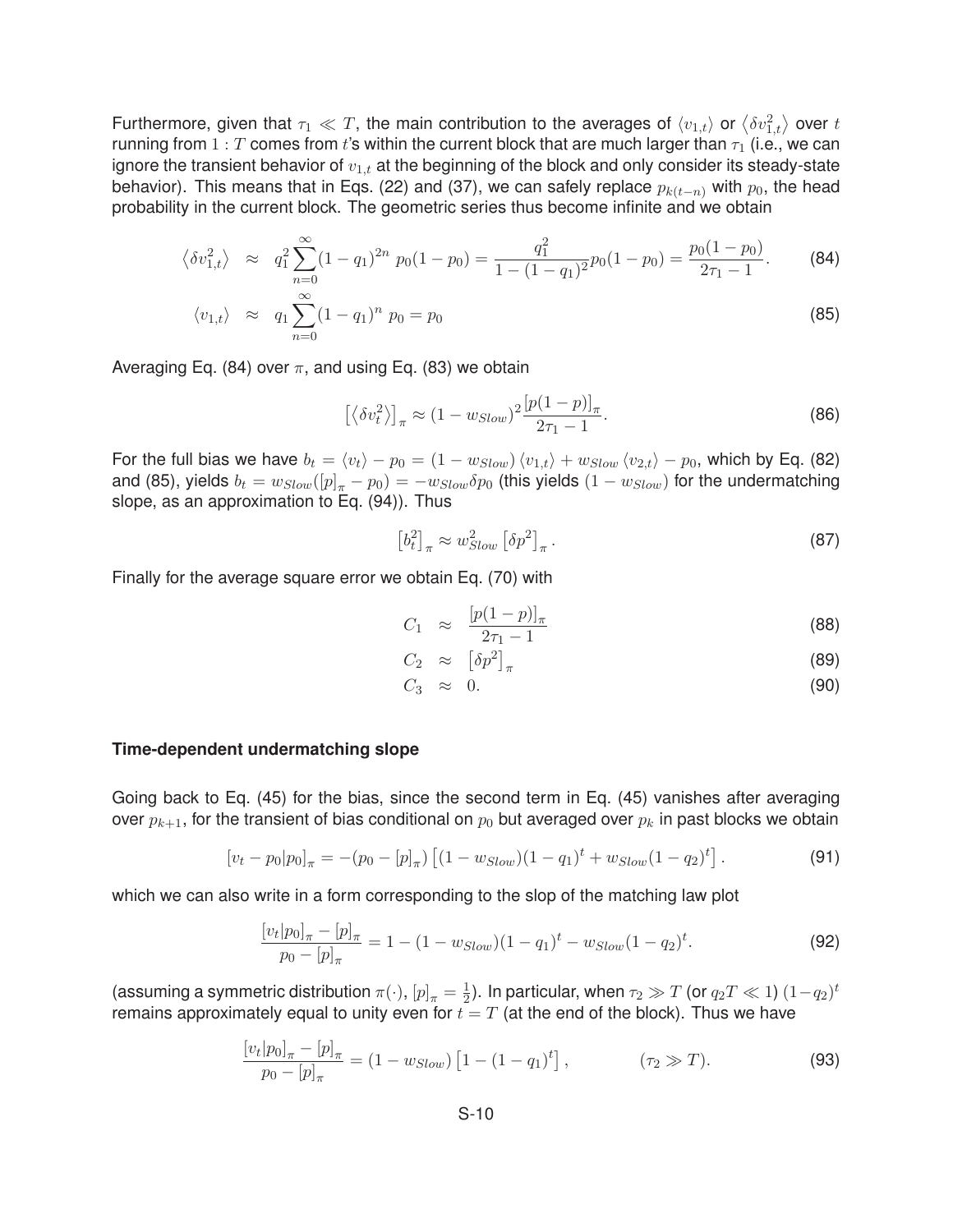Furthermore, given that  $\tau_1\ll T$ , the main contribution to the averages of  $\langle v_{1,t}\rangle$  or  $\big\langle\delta v_{1,t}^2\big\rangle$  over  $t$ running from  $1: T$  comes from t's within the current block that are much larger than  $\tau_1$  (i.e., we can ignore the transient behavior of  $v_{1,t}$  at the beginning of the block and only consider its steady-state behavior). This means that in Eqs. (22) and (37), we can safely replace  $p_{k(t-n)}$  with  $p_0$ , the head probability in the current block. The geometric series thus become infinite and we obtain

$$
\langle \delta v_{1,t}^2 \rangle \approx q_1^2 \sum_{n=0}^{\infty} (1 - q_1)^{2n} p_0 (1 - p_0) = \frac{q_1^2}{1 - (1 - q_1)^2} p_0 (1 - p_0) = \frac{p_0 (1 - p_0)}{2 \tau_1 - 1}.
$$
 (84)

$$
\langle v_{1,t} \rangle \approx q_1 \sum_{n=0}^{\infty} (1 - q_1)^n \ p_0 = p_0 \tag{85}
$$

Averaging Eq. (84) over  $\pi$ , and using Eq. (83) we obtain

$$
\left[\left\langle \delta v_t^2 \right\rangle\right]_{\pi} \approx (1 - w_{Slow})^2 \frac{\left[p(1-p)\right]_{\pi}}{2\tau_1 - 1}.
$$
\n(86)

For the full bias we have  $b_t = \langle v_t \rangle - p_0 = (1 - w_{Slow}) \langle v_{1,t} \rangle + w_{Slow} \langle v_{2,t} \rangle - p_0$ , which by Eq. (82) and (85), yields  $b_t = w_{Slow}([p]_\pi - p_0) = -w_{Slow}\delta p_0$  (this yields  $(1 - w_{Slow})$  for the undermatching slope, as an approximation to Eq. (94)). Thus

$$
\left[b_t^2\right]_{\pi} \approx w_{Slow}^2 \left[\delta p^2\right]_{\pi}.\tag{87}
$$

Finally for the average square error we obtain Eq. (70) with

$$
C_1 \approx \frac{[p(1-p)]_{\pi}}{2\tau_1 - 1} \tag{88}
$$

$$
C_2 \approx \left[\delta p^2\right]_{\pi} \tag{89}
$$

$$
C_3 \approx 0. \tag{90}
$$

#### **Time-dependent undermatching slope**

Going back to Eq. (45) for the bias, since the second term in Eq. (45) vanishes after averaging over  $p_{k+1}$ , for the transient of bias conditional on  $p_0$  but averaged over  $p_k$  in past blocks we obtain

$$
[v_t - p_0|p_0]_\pi = -(p_0 - [p]_\pi) \left[ (1 - w_{Slow})(1 - q_1)^t + w_{Slow}(1 - q_2)^t \right]. \tag{91}
$$

which we can also write in a form corresponding to the slop of the matching law plot

$$
\frac{[v_t|p_0]_\pi - [p]_\pi}{p_0 - [p]_\pi} = 1 - (1 - w_{Slow})(1 - q_1)^t - w_{Slow}(1 - q_2)^t.
$$
\n(92)

(assuming a symmetric distribution  $\pi(\cdot)$ ,  $[p]_\pi=\frac{1}{2}).$  In particular, when  $\tau_2\gg T$  (or  $q_2T\ll 1)$   $(1-q_2)^t$ remains approximately equal to unity even for  $t = T$  (at the end of the block). Thus we have

$$
\frac{[v_t|p_0]_\pi - [p]_\pi}{p_0 - [p]_\pi} = (1 - w_{Slow}) \left[ 1 - (1 - q_1)^t \right], \qquad (\tau_2 \gg T). \tag{93}
$$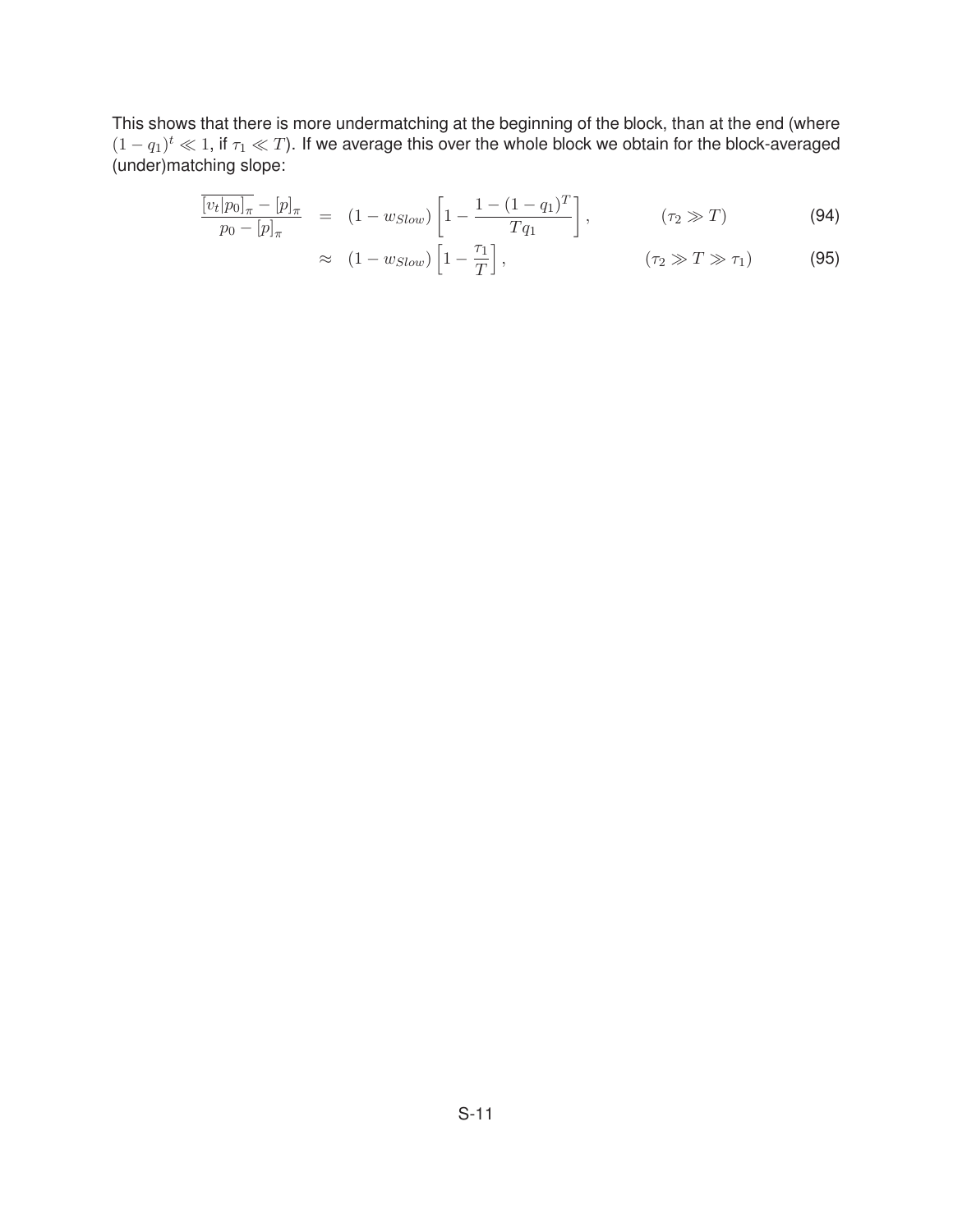This shows that there is more undermatching at the beginning of the block, than at the end (where  $(1 - q_1)^t \ll 1$ , if  $\tau_1 \ll T$ ). If we average this over the whole block we obtain for the block-averaged (under)matching slope:

$$
\frac{\overline{[v_t|p_0]_\pi} - [p]_\pi}{p_0 - [p]_\pi} = (1 - w_{Slow}) \left[ 1 - \frac{1 - (1 - q_1)^T}{Tq_1} \right], \qquad (\tau_2 \gg T)
$$
\n(94)

$$
\approx (1 - w_{Slow}) \left[ 1 - \frac{\tau_1}{T} \right], \qquad (\tau_2 \gg T \gg \tau_1) \tag{95}
$$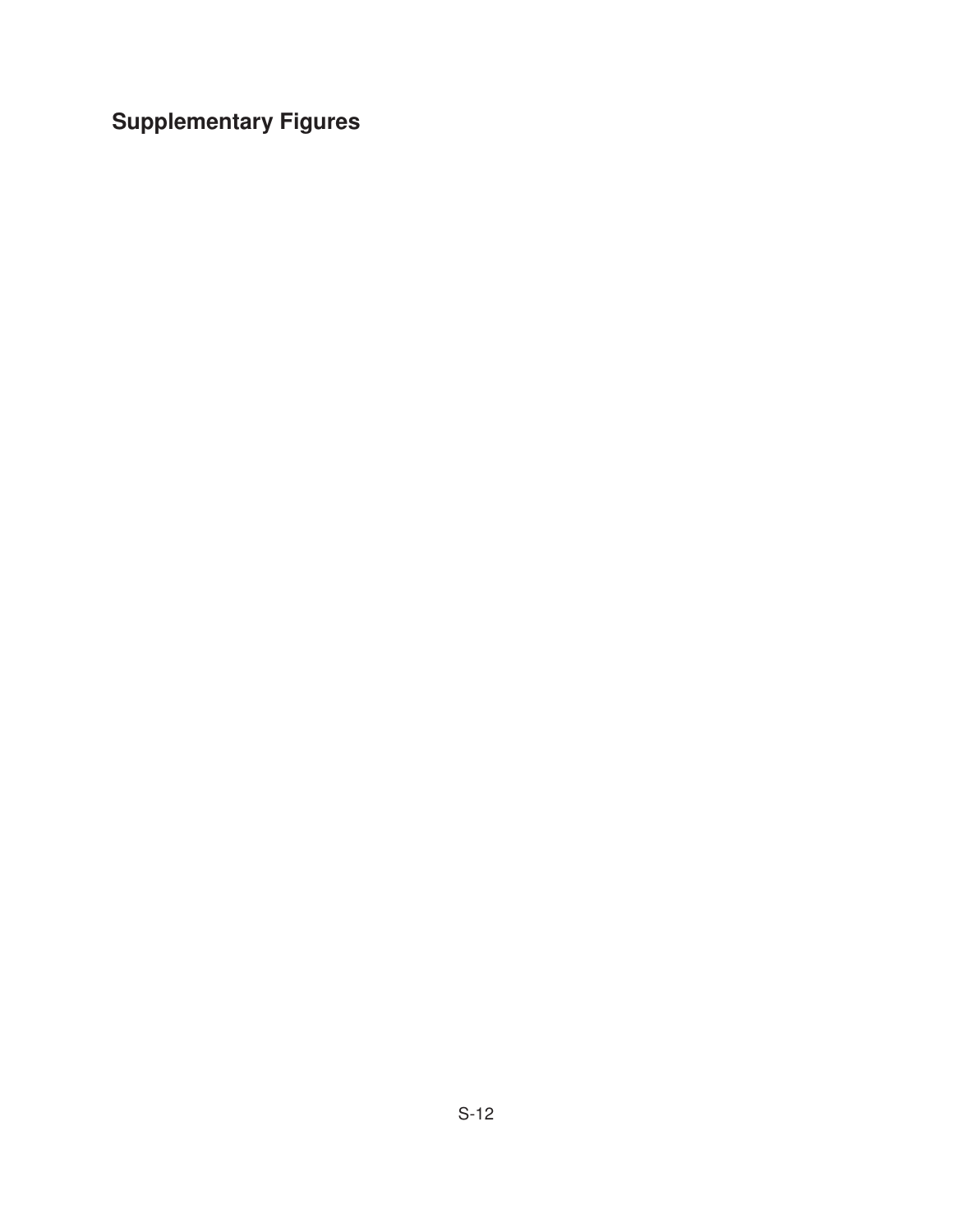**Supplementary Figures**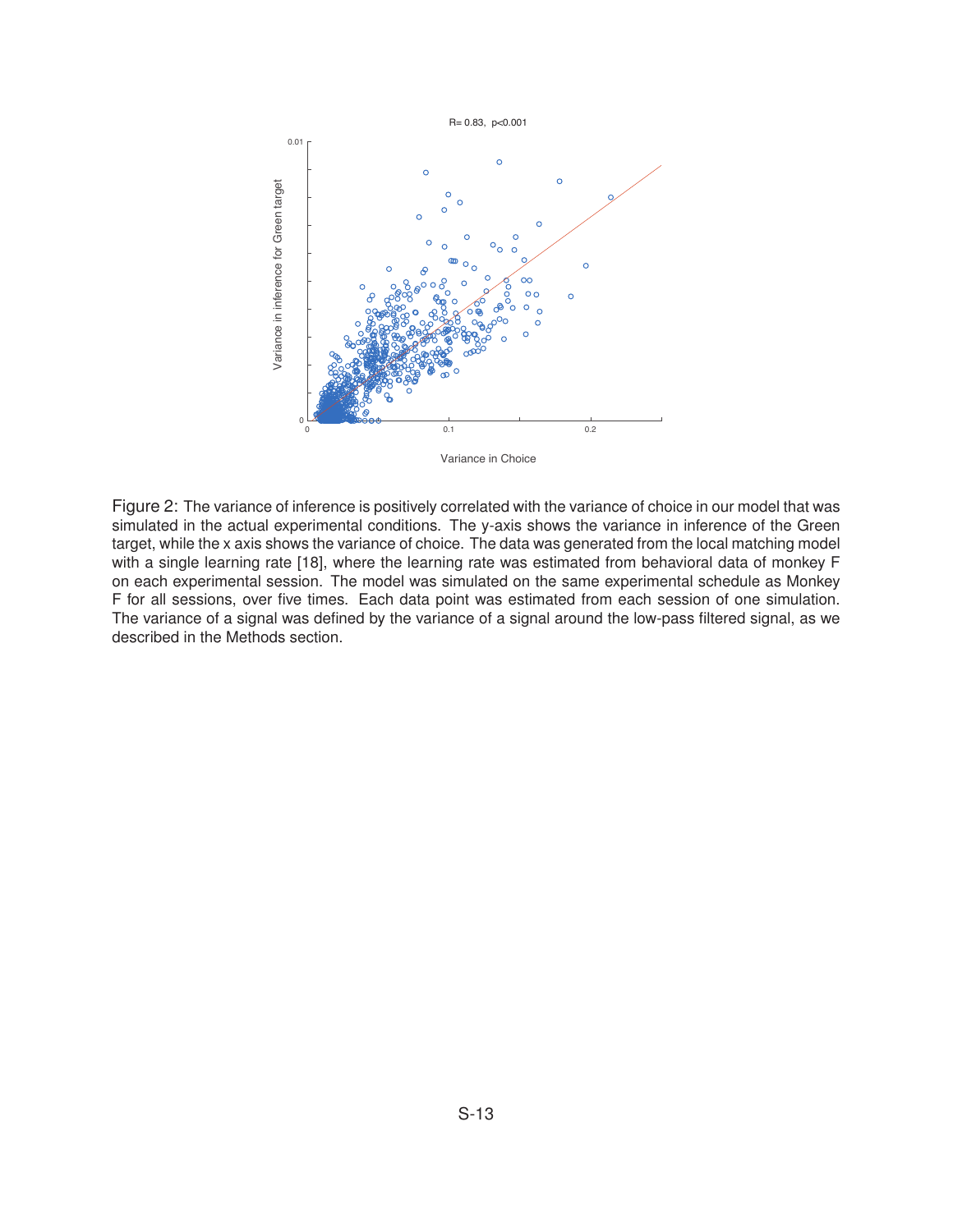

Variance in Choice

Figure 2: The variance of inference is positively correlated with the variance of choice in our model that was simulated in the actual experimental conditions. The y-axis shows the variance in inference of the Green target, while the x axis shows the variance of choice. The data was generated from the local matching model with a single learning rate [18], where the learning rate was estimated from behavioral data of monkey F on each experimental session. The model was simulated on the same experimental schedule as Monkey F for all sessions, over five times. Each data point was estimated from each session of one simulation. The variance of a signal was defined by the variance of a signal around the low-pass filtered signal, as we described in the Methods section.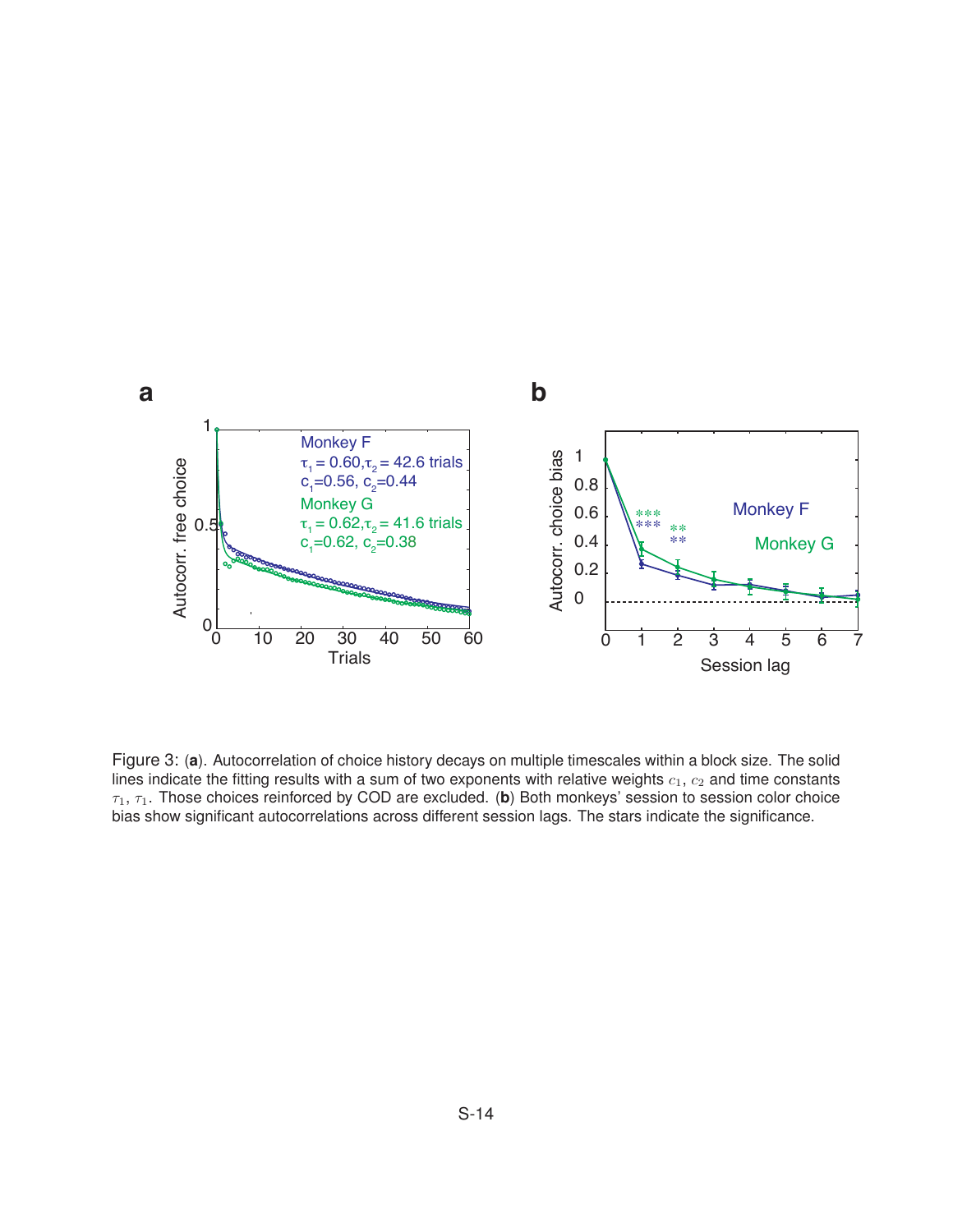

Figure 3: (**a**). Autocorrelation of choice history decays on multiple timescales within a block size. The solid lines indicate the fitting results with a sum of two exponents with relative weights  $c_1, c_2$  and time constants  $\tau_1$ ,  $\tau_1$ . Those choices reinforced by COD are excluded. (b) Both monkeys' session to session color choice bias show significant autocorrelations across different session lags. The stars indicate the significance.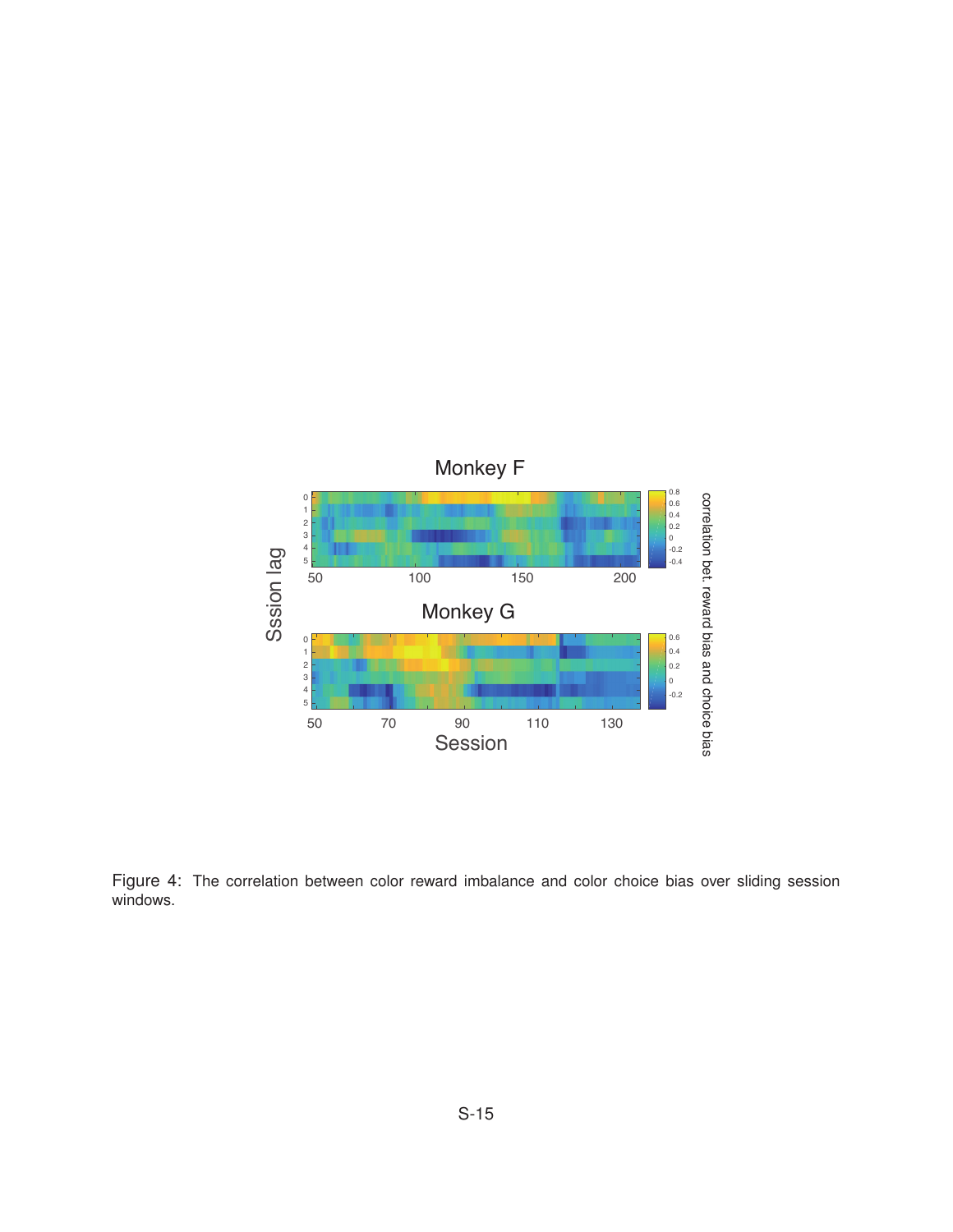

Figure 4: The correlation between color reward imbalance and color choice bias over sliding session windows.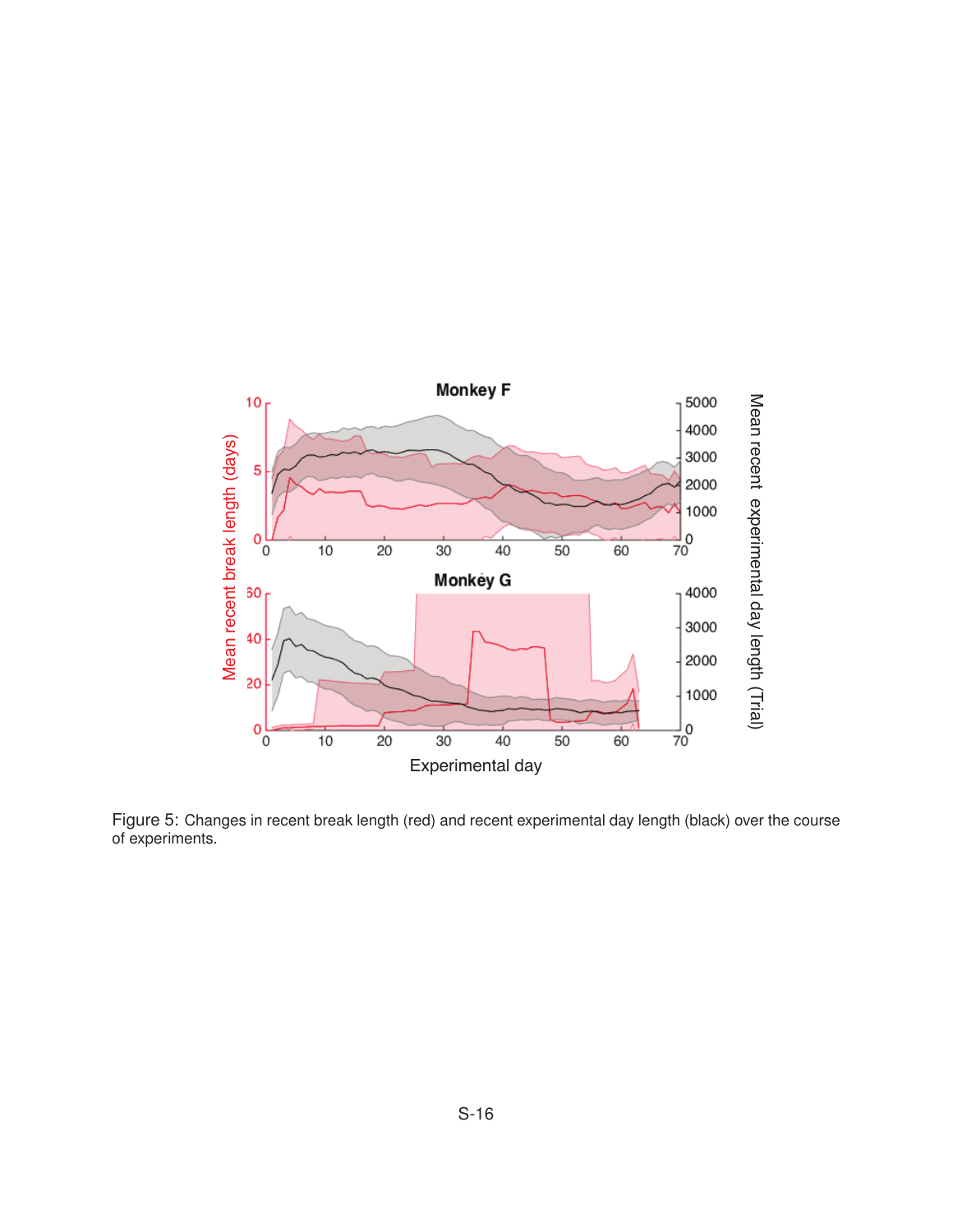

Figure 5: Changes in recent break length (red) and recent experimental day length (black) over the course of experiments.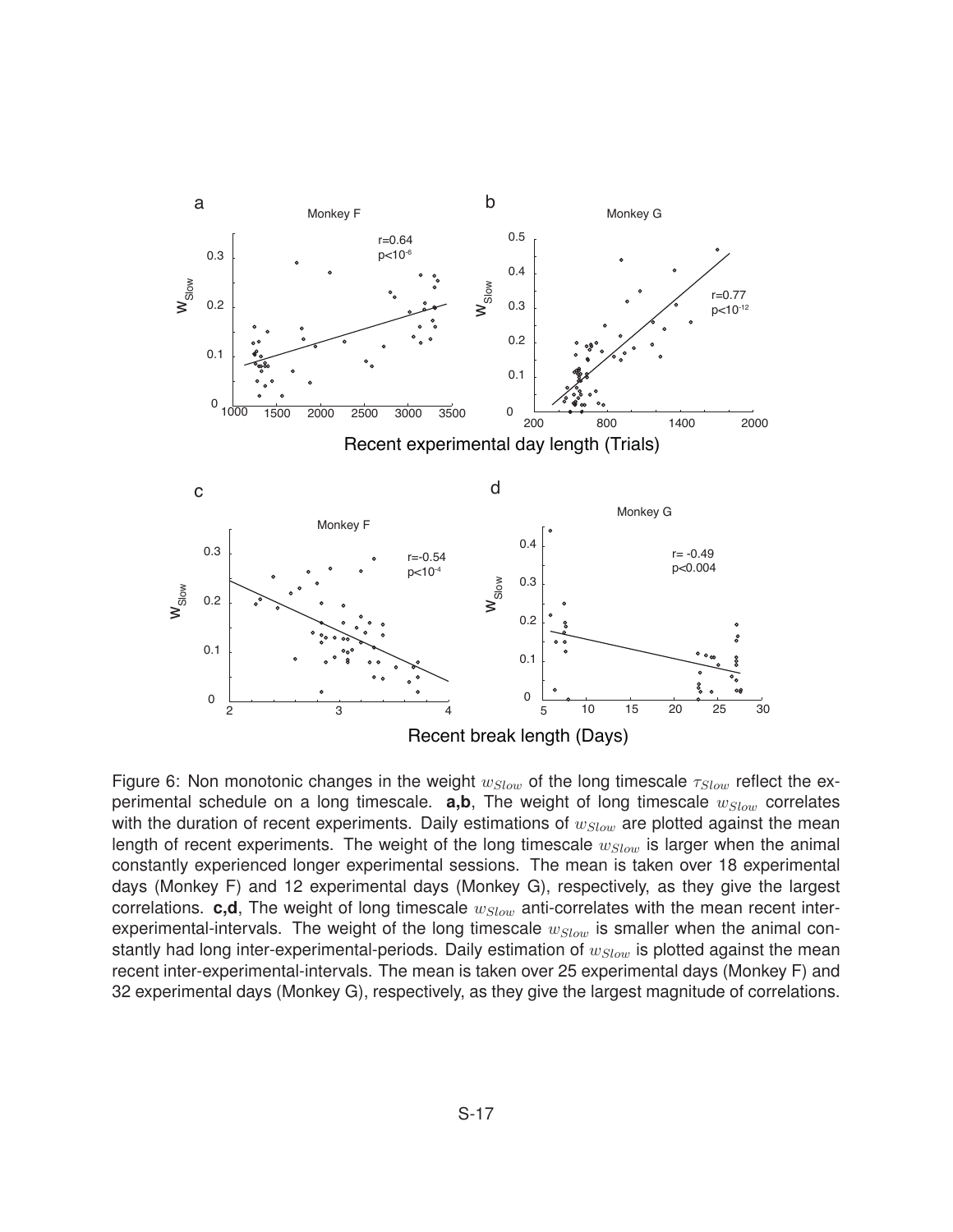

Figure 6: Non monotonic changes in the weight  $w_{Slow}$  of the long timescale  $\tau_{Slow}$  reflect the experimental schedule on a long timescale. **a,b**, The weight of long timescale w*Slow* correlates with the duration of recent experiments. Daily estimations of  $w_{Slow}$  are plotted against the mean length of recent experiments. The weight of the long timescale  $w_{Slow}$  is larger when the animal constantly experienced longer experimental sessions. The mean is taken over 18 experimental days (Monkey F) and 12 experimental days (Monkey G), respectively, as they give the largest correlations. **c,d**, The weight of long timescale  $w_{Slow}$  anti-correlates with the mean recent interexperimental-intervals. The weight of the long timescale  $w_{Slow}$  is smaller when the animal constantly had long inter-experimental-periods. Daily estimation of  $w_{Slow}$  is plotted against the mean recent inter-experimental-intervals. The mean is taken over 25 experimental days (Monkey F) and 32 experimental days (Monkey G), respectively, as they give the largest magnitude of correlations.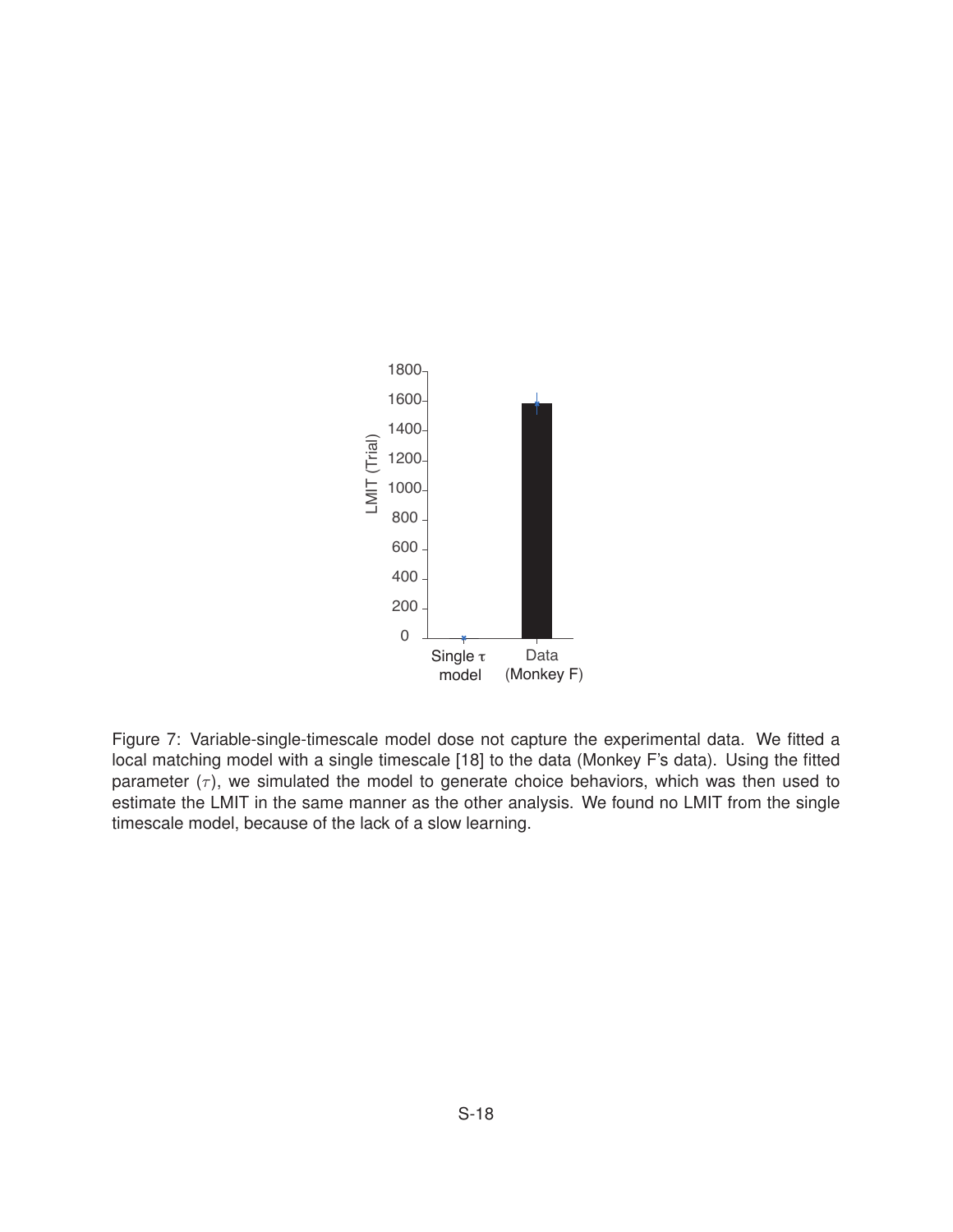

Figure 7: Variable-single-timescale model dose not capture the experimental data. We fitted a local matching model with a single timescale [18] to the data (Monkey F's data). Using the fitted parameter  $(\tau)$ , we simulated the model to generate choice behaviors, which was then used to estimate the LMIT in the same manner as the other analysis. We found no LMIT from the single timescale model, because of the lack of a slow learning.